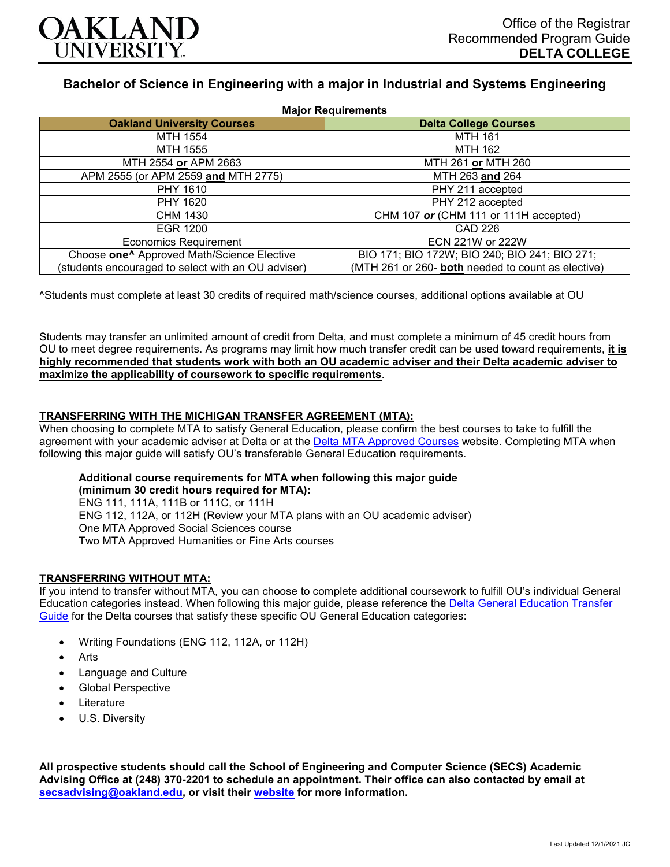

# **Bachelor of Science in Engineering with a major in Industrial and Systems Engineering**

| <b>Major Requirements</b>                              |                                                    |
|--------------------------------------------------------|----------------------------------------------------|
| <b>Oakland University Courses</b>                      | <b>Delta College Courses</b>                       |
| MTH 1554                                               | <b>MTH 161</b>                                     |
| MTH 1555                                               | <b>MTH 162</b>                                     |
| MTH 2554 or APM 2663                                   | MTH 261 or MTH 260                                 |
| APM 2555 (or APM 2559 and MTH 2775)                    | MTH 263 and 264                                    |
| PHY 1610                                               | PHY 211 accepted                                   |
| PHY 1620                                               | PHY 212 accepted                                   |
| CHM 1430                                               | CHM 107 or (CHM 111 or 111H accepted)              |
| <b>EGR 1200</b>                                        | CAD 226                                            |
| <b>Economics Requirement</b>                           | ECN 221W or 222W                                   |
| Choose one <sup>^</sup> Approved Math/Science Elective | BIO 171; BIO 172W; BIO 240; BIO 241; BIO 271;      |
| (students encouraged to select with an OU adviser)     | (MTH 261 or 260- both needed to count as elective) |

^Students must complete at least 30 credits of required math/science courses, additional options available at OU

Students may transfer an unlimited amount of credit from Delta, and must complete a minimum of 45 credit hours from OU to meet degree requirements. As programs may limit how much transfer credit can be used toward requirements, **it is highly recommended that students work with both an OU academic adviser and their Delta academic adviser to maximize the applicability of coursework to specific requirements**.

# **TRANSFERRING WITH THE MICHIGAN TRANSFER AGREEMENT (MTA):**

When choosing to complete MTA to satisfy General Education, please confirm the best courses to take to fulfill the agreement with your academic adviser at Delta or at the [Delta MTA Approved Courses](http://catalog.delta.edu/content.php?catoid=11&navoid=1451) website. Completing MTA when following this major guide will satisfy OU's transferable General Education requirements.

#### **Additional course requirements for MTA when following this major guide (minimum 30 credit hours required for MTA):**

ENG 111, 111A, 111B or 111C, or 111H ENG 112, 112A, or 112H (Review your MTA plans with an OU academic adviser) One MTA Approved Social Sciences course Two MTA Approved Humanities or Fine Arts courses

# **TRANSFERRING WITHOUT MTA:**

If you intend to transfer without MTA, you can choose to complete additional coursework to fulfill OU's individual General Education categories instead. When following this major guide, please reference the [Delta General Education Transfer](https://www.oakland.edu/Assets/Oakland/program-guides/delta-college/university-general-education-requirements/Delta%20Gen%20Ed.pdf)  [Guide](https://www.oakland.edu/Assets/Oakland/program-guides/delta-college/university-general-education-requirements/Delta%20Gen%20Ed.pdf) for the Delta courses that satisfy these specific OU General Education categories:

- Writing Foundations (ENG 112, 112A, or 112H)
- **Arts**
- Language and Culture
- Global Perspective
- **Literature**
- U.S. Diversity

**All prospective students should call the School of Engineering and Computer Science (SECS) Academic Advising Office at (248) 370-2201 to schedule an appointment. Their office can also contacted by email at [secsadvising@oakland.edu,](mailto:secsadvising@oakland.edu) or visit their [website](https://wwwp.oakland.edu/secs/advising/) for more information.**